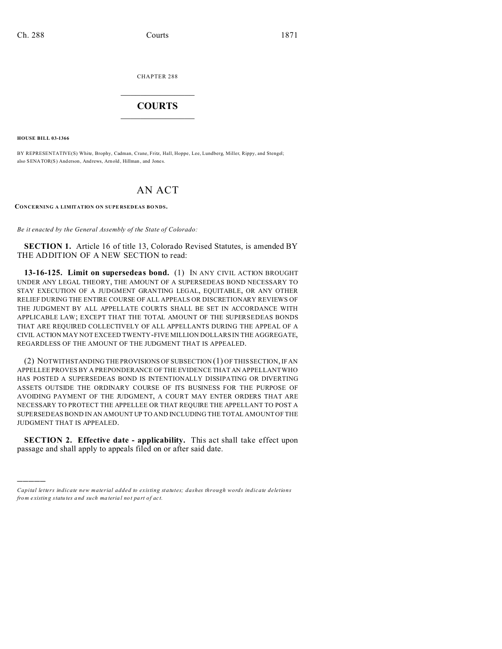CHAPTER 288  $\overline{\phantom{a}}$  , where  $\overline{\phantom{a}}$ 

## **COURTS**  $\_$

**HOUSE BILL 03-1366**

)))))

BY REPRESENTATIVE(S) White, Brophy, Cadman, Crane, Fritz, Hall, Hoppe, Lee, Lundberg, Miller, Rippy, and Stengel; also SENATOR(S) And erson, And rews, Arn old, Hillman , and Jones.

## AN ACT

**CONCERNING A LIMITATION ON SUPE RSEDEAS BO NDS.**

*Be it enacted by the General Assembly of the State of Colorado:*

**SECTION 1.** Article 16 of title 13, Colorado Revised Statutes, is amended BY THE ADDITION OF A NEW SECTION to read:

**13-16-125. Limit on supersedeas bond.** (1) IN ANY CIVIL ACTION BROUGHT UNDER ANY LEGAL THEORY, THE AMOUNT OF A SUPERSEDEAS BOND NECESSARY TO STAY EXECUTION OF A JUDGMENT GRANTING LEGAL, EQUITABLE, OR ANY OTHER RELIEF DURING THE ENTIRE COURSE OF ALL APPEALS OR DISCRETIONARY REVIEWS OF THE JUDGMENT BY ALL APPELLATE COURTS SHALL BE SET IN ACCORDANCE WITH APPLICABLE LAW; EXCEPT THAT THE TOTAL AMOUNT OF THE SUPERSEDEAS BONDS THAT ARE REQUIRED COLLECTIVELY OF ALL APPELLANTS DURING THE APPEAL OF A CIVIL ACTION MAY NOT EXCEED TWENTY-FIVE MILLION DOLLARS IN THE AGGREGATE, REGARDLESS OF THE AMOUNT OF THE JUDGMENT THAT IS APPEALED.

(2) NOTWITHSTANDING THE PROVISIONS OF SUBSECTION (1) OF THIS SECTION, IF AN APPELLEE PROVES BY A PREPONDERANCE OF THE EVIDENCE THAT AN APPELLANT WHO HAS POSTED A SUPERSEDEAS BOND IS INTENTIONALLY DISSIPATING OR DIVERTING ASSETS OUTSIDE THE ORDINARY COURSE OF ITS BUSINESS FOR THE PURPOSE OF AVOIDING PAYMENT OF THE JUDGMENT, A COURT MAY ENTER ORDERS THAT ARE NECESSARY TO PROTECT THE APPELLEE OR THAT REQUIRE THE APPELLANT TO POST A SUPERSEDEAS BOND IN AN AMOUNT UP TO AND INCLUDING THE TOTAL AMOUNT OF THE JUDGMENT THAT IS APPEALED.

**SECTION 2. Effective date - applicability.** This act shall take effect upon passage and shall apply to appeals filed on or after said date.

*Capital letters indicate new material added to existing statutes; dashes through words indicate deletions from e xistin g statu tes a nd such ma teria l no t pa rt of ac t.*